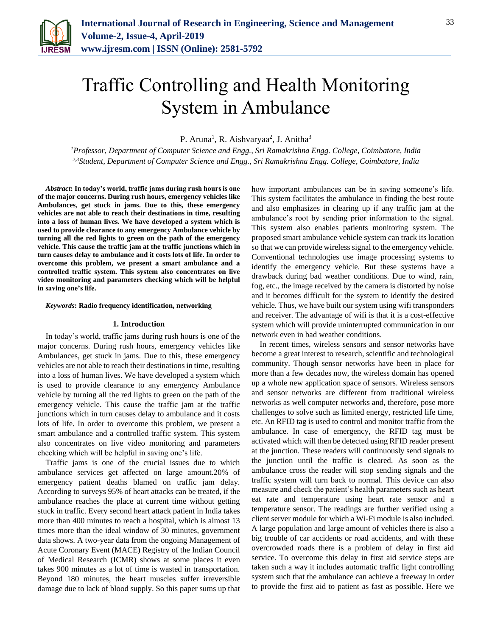

# Traffic Controlling and Health Monitoring System in Ambulance

P. Aruna<sup>1</sup>, R. Aishvaryaa<sup>2</sup>, J. Anitha<sup>3</sup>

*<sup>1</sup>Professor, Department of Computer Science and Engg., Sri Ramakrishna Engg. College, Coimbatore, India 2,3Student, Department of Computer Science and Engg., Sri Ramakrishna Engg. College, Coimbatore, India*

*Abstract***: In today's world, traffic jams during rush hours is one of the major concerns. During rush hours, emergency vehicles like Ambulances, get stuck in jams. Due to this, these emergency vehicles are not able to reach their destinations in time, resulting into a loss of human lives. We have developed a system which is used to provide clearance to any emergency Ambulance vehicle by turning all the red lights to green on the path of the emergency vehicle. This cause the traffic jam at the traffic junctions which in turn causes delay to ambulance and it costs lots of life. In order to overcome this problem, we present a smart ambulance and a controlled traffic system. This system also concentrates on live video monitoring and parameters checking which will be helpful in saving one's life.** 

*Keywords***: Radio frequency identification, networking**

## **1. Introduction**

In today's world, traffic jams during rush hours is one of the major concerns. During rush hours, emergency vehicles like Ambulances, get stuck in jams. Due to this, these emergency vehicles are not able to reach their destinations in time, resulting into a loss of human lives. We have developed a system which is used to provide clearance to any emergency Ambulance vehicle by turning all the red lights to green on the path of the emergency vehicle. This cause the traffic jam at the traffic junctions which in turn causes delay to ambulance and it costs lots of life. In order to overcome this problem, we present a smart ambulance and a controlled traffic system. This system also concentrates on live video monitoring and parameters checking which will be helpful in saving one's life.

Traffic jams is one of the crucial issues due to which ambulance services get affected on large amount.20% of emergency patient deaths blamed on traffic jam delay. According to surveys 95% of heart attacks can be treated, if the ambulance reaches the place at current time without getting stuck in traffic. Every second heart attack patient in India takes more than 400 minutes to reach a hospital, which is almost 13 times more than the ideal window of 30 minutes, government data shows. A two-year data from the ongoing Management of Acute Coronary Event (MACE) Registry of the Indian Council of Medical Research (ICMR) shows at some places it even takes 900 minutes as a lot of time is wasted in transportation. Beyond 180 minutes, the heart muscles suffer irreversible damage due to lack of blood supply. So this paper sums up that how important ambulances can be in saving someone's life. This system facilitates the ambulance in finding the best route and also emphasizes in clearing up if any traffic jam at the ambulance's root by sending prior information to the signal. This system also enables patients monitoring system. The proposed smart ambulance vehicle system can track its location so that we can provide wireless signal to the emergency vehicle. Conventional technologies use image processing systems to identify the emergency vehicle. But these systems have a drawback during bad weather conditions. Due to wind, rain, fog, etc., the image received by the camera is distorted by noise and it becomes difficult for the system to identify the desired vehicle. Thus, we have built our system using wifi transponders and receiver. The advantage of wifi is that it is a cost-effective system which will provide uninterrupted communication in our network even in bad weather conditions.

In recent times, wireless sensors and sensor networks have become a great interest to research, scientific and technological community. Though sensor networks have been in place for more than a few decades now, the wireless domain has opened up a whole new application space of sensors. Wireless sensors and sensor networks are different from traditional wireless networks as well computer networks and, therefore, pose more challenges to solve such as limited energy, restricted life time, etc. An RFID tag is used to control and monitor traffic from the ambulance. In case of emergency, the RFID tag must be activated which will then be detected using RFID reader present at the junction. These readers will continuously send signals to the junction until the traffic is cleared. As soon as the ambulance cross the reader will stop sending signals and the traffic system will turn back to normal. This device can also measure and check the patient's health parameters such as heart eat rate and temperature using heart rate sensor and a temperature sensor. The readings are further verified using a client server module for which a Wi-Fi module is also included. A large population and large amount of vehicles there is also a big trouble of car accidents or road accidents, and with these overcrowded roads there is a problem of delay in first aid service. To overcome this delay in first aid service steps are taken such a way it includes automatic traffic light controlling system such that the ambulance can achieve a freeway in order to provide the first aid to patient as fast as possible. Here we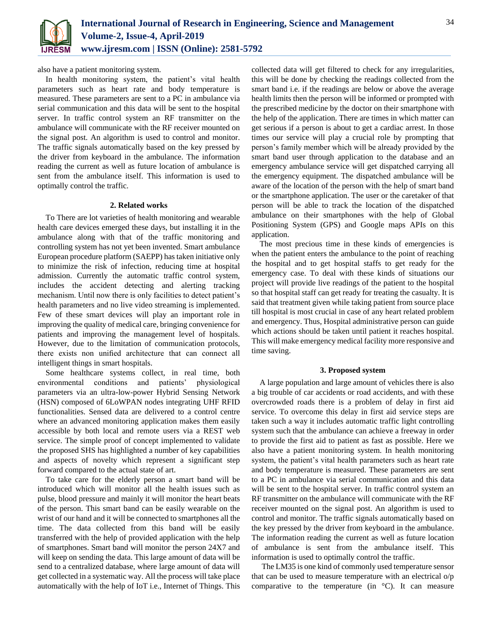

also have a patient monitoring system.

In health monitoring system, the patient's vital health parameters such as heart rate and body temperature is measured. These parameters are sent to a PC in ambulance via serial communication and this data will be sent to the hospital server. In traffic control system an RF transmitter on the ambulance will communicate with the RF receiver mounted on the signal post. An algorithm is used to control and monitor. The traffic signals automatically based on the key pressed by the driver from keyboard in the ambulance. The information reading the current as well as future location of ambulance is sent from the ambulance itself. This information is used to optimally control the traffic.

## **2. Related works**

To There are lot varieties of health monitoring and wearable health care devices emerged these days, but installing it in the ambulance along with that of the traffic monitoring and controlling system has not yet been invented. Smart ambulance European procedure platform (SAEPP) has taken initiative only to minimize the risk of infection, reducing time at hospital admission. Currently the automatic traffic control system, includes the accident detecting and alerting tracking mechanism. Until now there is only facilities to detect patient's health parameters and no live video streaming is implemented. Few of these smart devices will play an important role in improving the quality of medical care, bringing convenience for patients and improving the management level of hospitals. However, due to the limitation of communication protocols, there exists non unified architecture that can connect all intelligent things in smart hospitals.

Some healthcare systems collect, in real time, both environmental conditions and patients' physiological parameters via an ultra-low-power Hybrid Sensing Network (HSN) composed of 6LoWPAN nodes integrating UHF RFID functionalities. Sensed data are delivered to a control centre where an advanced monitoring application makes them easily accessible by both local and remote users via a REST web service. The simple proof of concept implemented to validate the proposed SHS has highlighted a number of key capabilities and aspects of novelty which represent a significant step forward compared to the actual state of art.

To take care for the elderly person a smart band will be introduced which will monitor all the health issues such as pulse, blood pressure and mainly it will monitor the heart beats of the person. This smart band can be easily wearable on the wrist of our hand and it will be connected to smartphones all the time. The data collected from this band will be easily transferred with the help of provided application with the help of smartphones. Smart band will monitor the person 24X7 and will keep on sending the data. This large amount of data will be send to a centralized database, where large amount of data will get collected in a systematic way. All the process will take place automatically with the help of IoT i.e., Internet of Things. This

collected data will get filtered to check for any irregularities, this will be done by checking the readings collected from the smart band i.e. if the readings are below or above the average health limits then the person will be informed or prompted with the prescribed medicine by the doctor on their smartphone with the help of the application. There are times in which matter can get serious if a person is about to get a cardiac arrest. In those times our service will play a crucial role by prompting that person's family member which will be already provided by the smart band user through application to the database and an emergency ambulance service will get dispatched carrying all the emergency equipment. The dispatched ambulance will be aware of the location of the person with the help of smart band or the smartphone application. The user or the caretaker of that person will be able to track the location of the dispatched ambulance on their smartphones with the help of Global Positioning System (GPS) and Google maps APIs on this application.

The most precious time in these kinds of emergencies is when the patient enters the ambulance to the point of reaching the hospital and to get hospital staffs to get ready for the emergency case. To deal with these kinds of situations our project will provide live readings of the patient to the hospital so that hospital staff can get ready for treating the casualty. It is said that treatment given while taking patient from source place till hospital is most crucial in case of any heart related problem and emergency. Thus, Hospital administrative person can guide which actions should be taken until patient it reaches hospital. This will make emergency medical facility more responsive and time saving.

# **3. Proposed system**

A large population and large amount of vehicles there is also a big trouble of car accidents or road accidents, and with these overcrowded roads there is a problem of delay in first aid service. To overcome this delay in first aid service steps are taken such a way it includes automatic traffic light controlling system such that the ambulance can achieve a freeway in order to provide the first aid to patient as fast as possible. Here we also have a patient monitoring system. In health monitoring system, the patient's vital health parameters such as heart rate and body temperature is measured. These parameters are sent to a PC in ambulance via serial communication and this data will be sent to the hospital server. In traffic control system an RF transmitter on the ambulance will communicate with the RF receiver mounted on the signal post. An algorithm is used to control and monitor. The traffic signals automatically based on the key pressed by the driver from keyboard in the ambulance. The information reading the current as well as future location of ambulance is sent from the ambulance itself. This information is used to optimally control the traffic.

The LM35 is one kind of commonly used temperature sensor that can be used to measure temperature with an electrical o/p comparative to the temperature (in °C). It can measure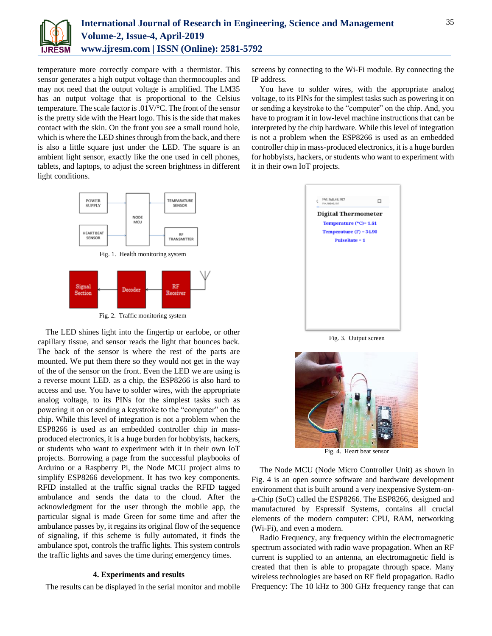

temperature more correctly compare with a thermistor. This sensor generates a high output voltage than thermocouples and may not need that the output voltage is amplified. The LM35 has an output voltage that is proportional to the Celsius temperature. The scale factor is .01V/°C. The front of the sensor is the pretty side with the Heart logo. This is the side that makes contact with the skin. On the front you see a small round hole, which is where the LED shines through from the back, and there is also a little square just under the LED. The square is an ambient light sensor, exactly like the one used in cell phones, tablets, and laptops, to adjust the screen brightness in different light conditions.





Fig. 2. Traffic monitoring system

The LED shines light into the fingertip or earlobe, or other capillary tissue, and sensor reads the light that bounces back. The back of the sensor is where the rest of the parts are mounted. We put them there so they would not get in the way of the of the sensor on the front. Even the LED we are using is a reverse mount LED. as a chip, the ESP8266 is also hard to access and use. You have to solder wires, with the appropriate analog voltage, to its PINs for the simplest tasks such as powering it on or sending a keystroke to the "computer" on the chip. While this level of integration is not a problem when the ESP8266 is used as an embedded controller chip in massproduced electronics, it is a huge burden for hobbyists, hackers, or students who want to experiment with it in their own IoT projects. Borrowing a page from the successful playbooks of Arduino or a Raspberry Pi, the Node MCU project aims to simplify ESP8266 development. It has two key components. RFID installed at the traffic signal tracks the RFID tagged ambulance and sends the data to the cloud. After the acknowledgment for the user through the mobile app, the particular signal is made Green for some time and after the ambulance passes by, it regains its original flow of the sequence of signaling, if this scheme is fully automated, it finds the ambulance spot, controls the traffic lights. This system controls the traffic lights and saves the time during emergency times.

## **4. Experiments and results**

The results can be displayed in the serial monitor and mobile

screens by connecting to the Wi-Fi module. By connecting the IP address.

You have to solder wires, with the appropriate analog voltage, to its PINs for the simplest tasks such as powering it on or sending a keystroke to the "computer" on the chip. And, you have to program it in low-level machine instructions that can be interpreted by the chip hardware. While this level of integration is not a problem when the ESP8266 is used as an embedded controller chip in mass-produced electronics, it is a huge burden for hobbyists, hackers, or students who want to experiment with it in their own IoT projects.

| <b>Digital Thermometer</b> |  |
|----------------------------|--|
| Temperature (*C)= 1.61     |  |
| Temperature $(F) = 34.90$  |  |
| <b>PulseRate = 1</b>       |  |
|                            |  |
|                            |  |
|                            |  |
|                            |  |
|                            |  |
|                            |  |
|                            |  |

Fig. 3. Output screen



Fig. 4. Heart beat sensor

The Node MCU (Node Micro Controller Unit) as shown in Fig. 4 is an open source software and hardware development environment that is built around a very inexpensive System-ona-Chip (SoC) called the ESP8266. The ESP8266, designed and manufactured by Espressif Systems, contains all crucial elements of the modern computer: CPU, RAM, networking (Wi-Fi), and even a modern.

Radio Frequency, any frequency within the electromagnetic spectrum associated with radio wave propagation. When an RF current is supplied to an antenna, an electromagnetic field is created that then is able to propagate through space. Many wireless technologies are based on RF field propagation. Radio Frequency: The 10 kHz to 300 GHz frequency range that can